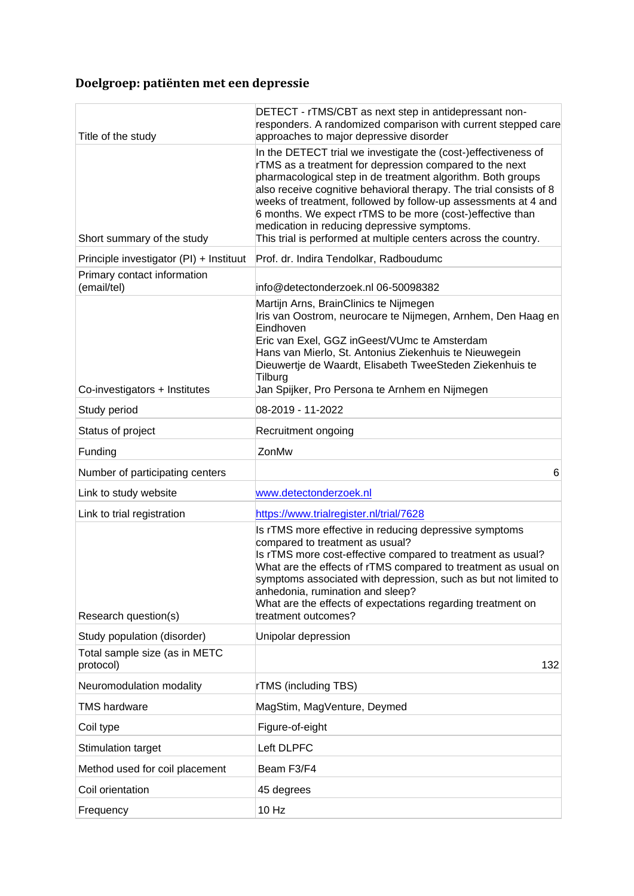## **Doelgroep: patiënten met een depressie**

| Title of the study                         | DETECT - rTMS/CBT as next step in antidepressant non-<br>responders. A randomized comparison with current stepped care<br>approaches to major depressive disorder                                                                                                                                                                                                                                                                                                                                               |
|--------------------------------------------|-----------------------------------------------------------------------------------------------------------------------------------------------------------------------------------------------------------------------------------------------------------------------------------------------------------------------------------------------------------------------------------------------------------------------------------------------------------------------------------------------------------------|
| Short summary of the study                 | In the DETECT trial we investigate the (cost-)effectiveness of<br>rTMS as a treatment for depression compared to the next<br>pharmacological step in de treatment algorithm. Both groups<br>also receive cognitive behavioral therapy. The trial consists of 8<br>weeks of treatment, followed by follow-up assessments at 4 and<br>6 months. We expect rTMS to be more (cost-)effective than<br>medication in reducing depressive symptoms.<br>This trial is performed at multiple centers across the country. |
| Principle investigator (PI) + Instituut    | Prof. dr. Indira Tendolkar, Radboudumc                                                                                                                                                                                                                                                                                                                                                                                                                                                                          |
| Primary contact information<br>(email/tel) | info@detectonderzoek.nl 06-50098382                                                                                                                                                                                                                                                                                                                                                                                                                                                                             |
| Co-investigators + Institutes              | Martijn Arns, BrainClinics te Nijmegen<br>Iris van Oostrom, neurocare te Nijmegen, Arnhem, Den Haag en<br>Eindhoven<br>Eric van Exel, GGZ inGeest/VUmc te Amsterdam<br>Hans van Mierlo, St. Antonius Ziekenhuis te Nieuwegein<br>Dieuwertje de Waardt, Elisabeth TweeSteden Ziekenhuis te<br>Tilburg<br>Jan Spijker, Pro Persona te Arnhem en Nijmegen                                                                                                                                                          |
| Study period                               | 08-2019 - 11-2022                                                                                                                                                                                                                                                                                                                                                                                                                                                                                               |
| Status of project                          | Recruitment ongoing                                                                                                                                                                                                                                                                                                                                                                                                                                                                                             |
| Funding                                    | ZonMw                                                                                                                                                                                                                                                                                                                                                                                                                                                                                                           |
| Number of participating centers            | 6                                                                                                                                                                                                                                                                                                                                                                                                                                                                                                               |
| Link to study website                      | www.detectonderzoek.nl                                                                                                                                                                                                                                                                                                                                                                                                                                                                                          |
| Link to trial registration                 | https://www.trialregister.nl/trial/7628                                                                                                                                                                                                                                                                                                                                                                                                                                                                         |
| Research question(s)                       | Is rTMS more effective in reducing depressive symptoms<br>compared to treatment as usual?<br>Is rTMS more cost-effective compared to treatment as usual?<br>What are the effects of rTMS compared to treatment as usual on<br>symptoms associated with depression, such as but not limited to<br>anhedonia, rumination and sleep?<br>What are the effects of expectations regarding treatment on<br>treatment outcomes?                                                                                         |
| Study population (disorder)                | Unipolar depression                                                                                                                                                                                                                                                                                                                                                                                                                                                                                             |
| Total sample size (as in METC<br>protocol) | 132                                                                                                                                                                                                                                                                                                                                                                                                                                                                                                             |
| Neuromodulation modality                   | <b>rTMS</b> (including TBS)                                                                                                                                                                                                                                                                                                                                                                                                                                                                                     |
| TMS hardware                               | MagStim, MagVenture, Deymed                                                                                                                                                                                                                                                                                                                                                                                                                                                                                     |
| Coil type                                  | Figure-of-eight                                                                                                                                                                                                                                                                                                                                                                                                                                                                                                 |
| Stimulation target                         | Left DLPFC                                                                                                                                                                                                                                                                                                                                                                                                                                                                                                      |
| Method used for coil placement             | Beam F3/F4                                                                                                                                                                                                                                                                                                                                                                                                                                                                                                      |
| Coil orientation                           | 45 degrees                                                                                                                                                                                                                                                                                                                                                                                                                                                                                                      |
| Frequency                                  | 10 Hz                                                                                                                                                                                                                                                                                                                                                                                                                                                                                                           |